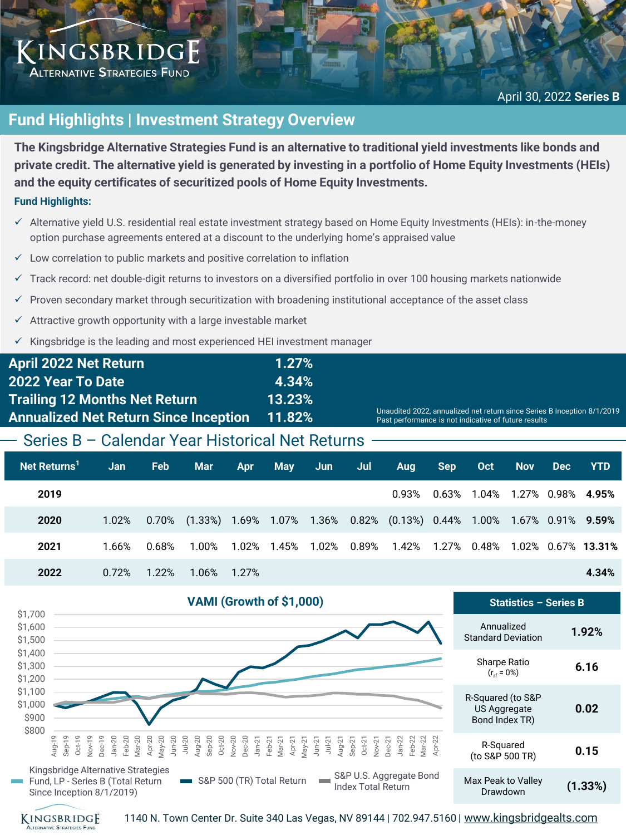## KINGSBRIDGE **ALTERNATIVE STRATEGIES FUND**

# **Fund Highlights | Investment Strategy Overview**

**The Kingsbridge Alternative Strategies Fund is an alternative to traditional yield investments like bonds and private credit. The alternative yield is generated by investing in a portfolio of Home Equity Investments (HEIs) and the equity certificates of securitized pools of Home Equity Investments.**

## **Fund Highlights:**

- ✓ Alternative yield U.S. residential real estate investment strategy based on Home Equity Investments (HEIs): in-the-money option purchase agreements entered at a discount to the underlying home's appraised value
- $\checkmark$  Low correlation to public markets and positive correlation to inflation
- ✓ Track record: net double-digit returns to investors on a diversified portfolio in over 100 housing markets nationwide
- Proven secondary market through securitization with broadening institutional acceptance of the asset class
- $\checkmark$  Attractive growth opportunity with a large investable market
- Kingsbridge is the leading and most experienced HEI investment manager

| <b>April 2022 Net Return</b>                 | 1.27%     |                                                                                                                                 |
|----------------------------------------------|-----------|---------------------------------------------------------------------------------------------------------------------------------|
| <b>2022 Year To Date</b>                     | 4.34%     |                                                                                                                                 |
| <b>Trailing 12 Months Net Return</b>         | $13.23\%$ |                                                                                                                                 |
| <b>Annualized Net Return Since Inception</b> | 11.82%    | Unaudited 2022, annualized net return since Series B Inception 8/1/2019<br>Past performance is not indicative of future results |
|                                              |           |                                                                                                                                 |

# Series B – Calendar Year Historical Net Returns

| Net Returns <sup>1</sup> | Jan   | <b>Feb</b> | <b>Mar</b>                                                                                                   | <b>Apr</b> | May Jun | Jul | Aug | Sep Oct | Nov | Dec YTD |                                           |
|--------------------------|-------|------------|--------------------------------------------------------------------------------------------------------------|------------|---------|-----|-----|---------|-----|---------|-------------------------------------------|
| 2019                     |       |            |                                                                                                              |            |         |     |     |         |     |         | $0.93\%$ $0.63\%$ 1.04% 1.27% 0.98% 4.95% |
| 2020                     |       |            | 1.02% 0.70% (1.33%) 1.69% 1.07% 1.36% 0.82% (0.13%) 0.44% 1.00% 1.67% 0.91% 9.59%                            |            |         |     |     |         |     |         |                                           |
| 2021                     | 1.66% |            | $0.68\%$ $1.00\%$ $1.02\%$ $1.45\%$ $1.02\%$ $0.89\%$ $1.42\%$ $1.27\%$ $0.48\%$ $1.02\%$ $0.67\%$ $13.31\%$ |            |         |     |     |         |     |         |                                           |
| 2022                     |       |            | $0.72\%$ 1.22% 1.06% 1.27%                                                                                   |            |         |     |     |         |     |         | 4.34%                                     |





1140 N. Town Center Dr. Suite 340 Las Vegas, NV 89144 | 702.947.5160 | [www.kingsbridgealts.com](http://www.kingsbridgealts.com/)